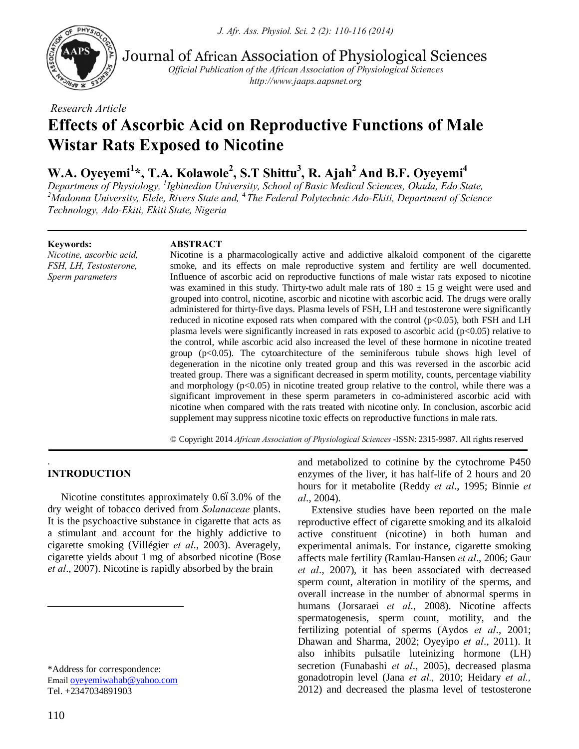

Journal of African Association of Physiological Sciences

*Official Publication of the African Association of Physiological Sciences http://www.jaaps.aapsnet.org*

*Research Article*

# **Effects of Ascorbic Acid on Reproductive Functions of Male Wistar Rats Exposed to Nicotine**

# W.A. Oyeyemi<sup>1</sup>\*, T.A. Kolawole<sup>2</sup>, S.T Shittu<sup>3</sup>, R. Ajah<sup>2</sup> And B.F. Oyeyemi<sup>4</sup>

*Departmens of Physiology, <sup>1</sup> Igbinedion University, School of Basic Medical Sciences, Okada, Edo State, 2 Madonna University, Elele, Rivers State and,* <sup>4</sup>*The Federal Polytechnic Ado-Ekiti, Department of Science Technology, Ado-Ekiti, Ekiti State, Nigeria*

#### **Keywords:**

*Nicotine, ascorbic acid, FSH, LH, Testosterone, Sperm parameters*

# **ABSTRACT**

Nicotine is a pharmacologically active and addictive alkaloid component of the cigarette smoke, and its effects on male reproductive system and fertility are well documented. Influence of ascorbic acid on reproductive functions of male wistar rats exposed to nicotine was examined in this study. Thirty-two adult male rats of  $180 \pm 15$  g weight were used and grouped into control, nicotine, ascorbic and nicotine with ascorbic acid. The drugs were orally administered for thirty-five days. Plasma levels of FSH, LH and testosterone were significantly reduced in nicotine exposed rats when compared with the control (p<0.05), both FSH and LH plasma levels were significantly increased in rats exposed to ascorbic acid ( $p<0.05$ ) relative to the control, while ascorbic acid also increased the level of these hormone in nicotine treated group  $(p<0.05)$ . The cytoarchitecture of the seminiferous tubule shows high level of degeneration in the nicotine only treated group and this was reversed in the ascorbic acid treated group. There was a significant decreased in sperm motility, counts, percentage viability and morphology  $(p<0.05)$  in nicotine treated group relative to the control, while there was a significant improvement in these sperm parameters in co-administered ascorbic acid with nicotine when compared with the rats treated with nicotine only. In conclusion, ascorbic acid supplement may suppress nicotine toxic effects on reproductive functions in male rats.

© Copyright 2014 *African Association of Physiological Sciences* -ISSN: 2315-9987. All rights reserved

#### . **INTRODUCTION**

Nicotine constitutes approximately  $0.663.0\%$  of the dry weight of tobacco derived from *Solanaceae* plants. It is the psychoactive substance in cigarette that acts as a stimulant and account for the highly addictive to cigarette smoking (Villégier *et al*., 2003). Averagely, cigarette yields about 1 mg of absorbed nicotine (Bose *et al*., 2007). Nicotine is rapidly absorbed by the brain

 $\overline{a}$ 

and metabolized to cotinine by the cytochrome P450 enzymes of the liver, it has half-life of 2 hours and 20 hours for it metabolite (Reddy *et al*., 1995; Binnie *et al*., 2004).

Extensive studies have been reported on the male reproductive effect of cigarette smoking and its alkaloid active constituent (nicotine) in both human and experimental animals. For instance, cigarette smoking affects male fertility (Ramlau-Hansen *et al*., 2006; Gaur *et al*., 2007), it has been associated with decreased sperm count, alteration in motility of the sperms, and overall increase in the number of abnormal sperms in humans (Jorsaraei *et al*., 2008). Nicotine affects spermatogenesis, sperm count, motility, and the fertilizing potential of sperms (Aydos *et al*., 2001; Dhawan and Sharma, 2002; Oyeyipo *et al*., 2011). It also inhibits pulsatile luteinizing hormone (LH) secretion (Funabashi *et al*., 2005), decreased plasma gonadotropin level (Jana *et al.,* 2010; Heidary *et al.,* 2012) and decreased the plasma level of testosterone

<sup>\*</sup>Address for correspondence: Email oyeyemiwahab@yahoo.com Tel. +2347034891903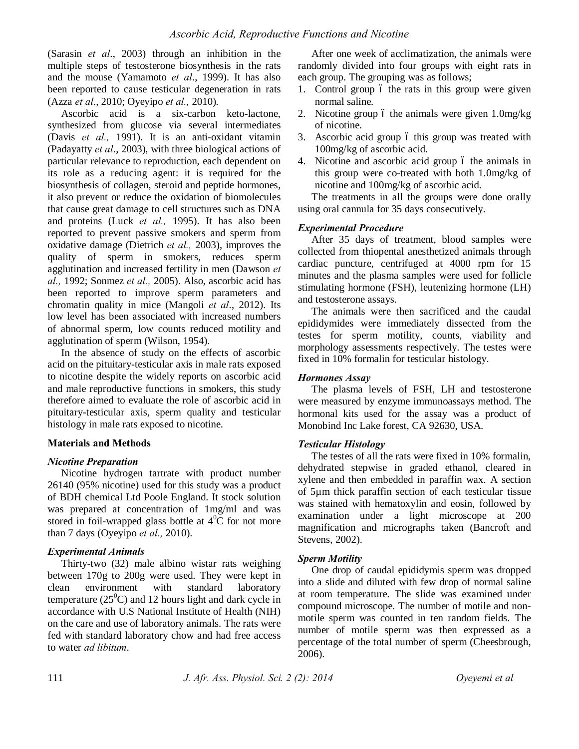(Sarasin *et al*., 2003) through an inhibition in the multiple steps of testosterone biosynthesis in the rats and the mouse (Yamamoto *et al*., 1999). It has also been reported to cause testicular degeneration in rats (Azza *et al*., 2010; Oyeyipo *et al.,* 2010).

Ascorbic acid is a six-carbon keto-lactone, synthesized from glucose via several intermediates (Davis *et al.,* 1991). It is an anti-oxidant vitamin (Padayatty *et al*., 2003), with three biological actions of particular relevance to reproduction, each dependent on its role as a reducing agent: it is required for the biosynthesis of collagen, steroid and peptide hormones, it also prevent or reduce the oxidation of biomolecules that cause great damage to cell structures such as DNA and proteins (Luck *et al.,* 1995). It has also been reported to prevent passive smokers and sperm from oxidative damage (Dietrich *et al.,* 2003), improves the quality of sperm in smokers, reduces sperm agglutination and increased fertility in men (Dawson *et al.,* 1992; Sonmez *et al.,* 2005). Also, ascorbic acid has been reported to improve sperm parameters and chromatin quality in mice (Mangoli *et al*., 2012). Its low level has been associated with increased numbers of abnormal sperm, low counts reduced motility and agglutination of sperm (Wilson, 1954).

In the absence of study on the effects of ascorbic acid on the pituitary-testicular axis in male rats exposed to nicotine despite the widely reports on ascorbic acid and male reproductive functions in smokers, this study therefore aimed to evaluate the role of ascorbic acid in pituitary-testicular axis, sperm quality and testicular histology in male rats exposed to nicotine.

#### **Materials and Methods**

#### *Nicotine Preparation*

Nicotine hydrogen tartrate with product number 26140 (95% nicotine) used for this study was a product of BDH chemical Ltd Poole England. It stock solution was prepared at concentration of 1mg/ml and was stored in foil-wrapped glass bottle at  $4^{\circ}C$  for not more than 7 days (Oyeyipo *et al.,* 2010).

# *Experimental Animals*

Thirty-two (32) male albino wistar rats weighing between 170g to 200g were used. They were kept in clean environment with standard laboratory temperature  $(25^{\circ}C)$  and 12 hours light and dark cycle in accordance with U.S National Institute of Health (NIH) on the care and use of laboratory animals. The rats were fed with standard laboratory chow and had free access to water *ad libitum*.

After one week of acclimatization, the animals were randomly divided into four groups with eight rats in each group. The grouping was as follows;

- 1. Control group 6 the rats in this group were given normal saline.
- 2. Nicotine group 6 the animals were given  $1.0 \text{mg/kg}$ of nicotine.
- 3. Ascorbic acid group 6 this group was treated with 100mg/kg of ascorbic acid.
- 4. Nicotine and ascorbic acid group 6 the animals in this group were co-treated with both 1.0mg/kg of nicotine and 100mg/kg of ascorbic acid.

The treatments in all the groups were done orally using oral cannula for 35 days consecutively.

#### *Experimental Procedure*

After 35 days of treatment, blood samples were collected from thiopental anesthetized animals through cardiac puncture, centrifuged at 4000 rpm for 15 minutes and the plasma samples were used for follicle stimulating hormone (FSH), leutenizing hormone (LH) and testosterone assays.

The animals were then sacrificed and the caudal epididymides were immediately dissected from the testes for sperm motility, counts, viability and morphology assessments respectively. The testes were fixed in 10% formalin for testicular histology.

#### *Hormones Assay*

The plasma levels of FSH, LH and testosterone were measured by enzyme immunoassays method. The hormonal kits used for the assay was a product of Monobind Inc Lake forest, CA 92630, USA.

#### *Testicular Histology*

The testes of all the rats were fixed in 10% formalin, dehydrated stepwise in graded ethanol, cleared in xylene and then embedded in paraffin wax. A section of 5µm thick paraffin section of each testicular tissue was stained with hematoxylin and eosin, followed by examination under a light microscope at 200 magnification and micrographs taken (Bancroft and Stevens, 2002).

# *Sperm Motility*

One drop of caudal epididymis sperm was dropped into a slide and diluted with few drop of normal saline at room temperature. The slide was examined under compound microscope. The number of motile and nonmotile sperm was counted in ten random fields. The number of motile sperm was then expressed as a percentage of the total number of sperm (Cheesbrough, 2006).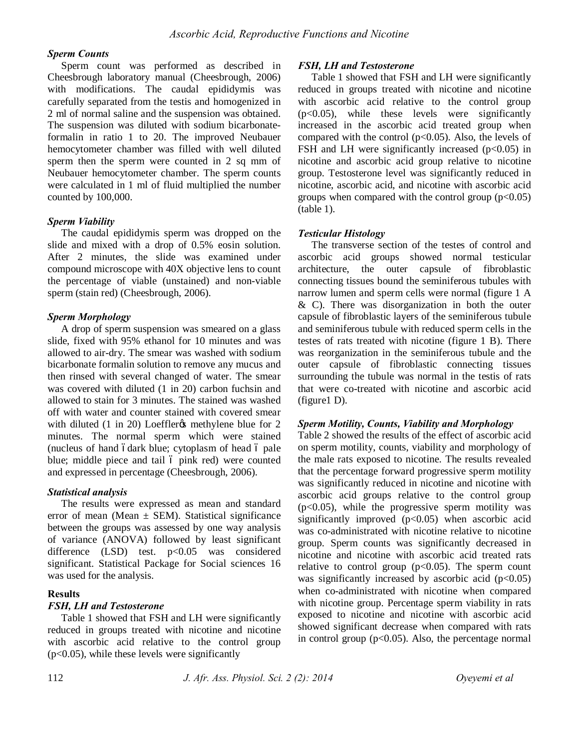#### *Sperm Counts*

Sperm count was performed as described in Cheesbrough laboratory manual (Cheesbrough, 2006) with modifications. The caudal epididymis was carefully separated from the testis and homogenized in 2 ml of normal saline and the suspension was obtained. The suspension was diluted with sodium bicarbonateformalin in ratio 1 to 20. The improved Neubauer hemocytometer chamber was filled with well diluted sperm then the sperm were counted in 2 sq mm of Neubauer hemocytometer chamber. The sperm counts were calculated in 1 ml of fluid multiplied the number counted by 100,000.

#### *Sperm Viability*

The caudal epididymis sperm was dropped on the slide and mixed with a drop of 0.5% eosin solution. After 2 minutes, the slide was examined under compound microscope with 40X objective lens to count the percentage of viable (unstained) and non-viable sperm (stain red) (Cheesbrough, 2006).

#### *Sperm Morphology*

A drop of sperm suspension was smeared on a glass slide, fixed with 95% ethanol for 10 minutes and was allowed to air-dry. The smear was washed with sodium bicarbonate formalin solution to remove any mucus and then rinsed with several changed of water. The smear was covered with diluted (1 in 20) carbon fuchsin and allowed to stain for 3 minutes. The stained was washed off with water and counter stained with covered smear with diluted  $(1 \text{ in } 20)$  Loeffler  $\alpha$  methylene blue for 2 minutes. The normal sperm which were stained (nucleus of hand ódark blue; cytoplasm of head ó pale blue; middle piece and tail ó pink red) were counted and expressed in percentage (Cheesbrough, 2006).

# *Statistical analysis*

The results were expressed as mean and standard error of mean (Mean  $\pm$  SEM). Statistical significance between the groups was assessed by one way analysis of variance (ANOVA) followed by least significant difference (LSD) test. p<0.05 was considered significant. Statistical Package for Social sciences 16 was used for the analysis.

# **Results**

#### *FSH, LH and Testosterone*

Table 1 showed that FSH and LH were significantly reduced in groups treated with nicotine and nicotine with ascorbic acid relative to the control group (p<0.05), while these levels were significantly

#### *FSH, LH and Testosterone*

Table 1 showed that FSH and LH were significantly reduced in groups treated with nicotine and nicotine with ascorbic acid relative to the control group (p<0.05), while these levels were significantly increased in the ascorbic acid treated group when compared with the control  $(p<0.05)$ . Also, the levels of FSH and LH were significantly increased  $(p<0.05)$  in nicotine and ascorbic acid group relative to nicotine group. Testosterone level was significantly reduced in nicotine, ascorbic acid, and nicotine with ascorbic acid groups when compared with the control group  $(p<0.05)$ (table 1).

#### *Testicular Histology*

The transverse section of the testes of control and ascorbic acid groups showed normal testicular architecture, the outer capsule of fibroblastic connecting tissues bound the seminiferous tubules with narrow lumen and sperm cells were normal (figure 1 A & C). There was disorganization in both the outer capsule of fibroblastic layers of the seminiferous tubule and seminiferous tubule with reduced sperm cells in the testes of rats treated with nicotine (figure 1 B). There was reorganization in the seminiferous tubule and the outer capsule of fibroblastic connecting tissues surrounding the tubule was normal in the testis of rats that were co-treated with nicotine and ascorbic acid (figure1 D).

# *Sperm Motility, Counts, Viability and Morphology*

Table 2 showed the results of the effect of ascorbic acid on sperm motility, counts, viability and morphology of the male rats exposed to nicotine. The results revealed that the percentage forward progressive sperm motility was significantly reduced in nicotine and nicotine with ascorbic acid groups relative to the control group  $(p<0.05)$ , while the progressive sperm motility was significantly improved  $(p<0.05)$  when ascorbic acid was co-administrated with nicotine relative to nicotine group. Sperm counts was significantly decreased in nicotine and nicotine with ascorbic acid treated rats relative to control group  $(p<0.05)$ . The sperm count was significantly increased by ascorbic acid  $(p<0.05)$ when co-administrated with nicotine when compared with nicotine group. Percentage sperm viability in rats exposed to nicotine and nicotine with ascorbic acid showed significant decrease when compared with rats in control group  $(p<0.05)$ . Also, the percentage normal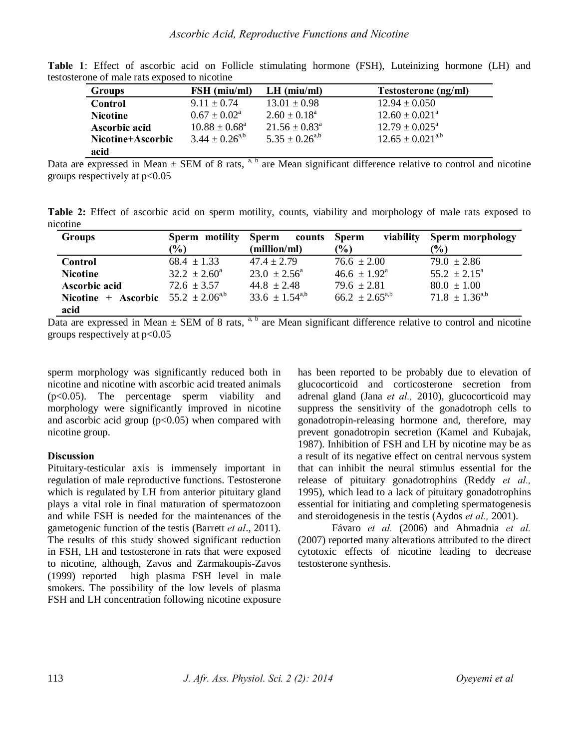| <b>Groups</b>     | FSH (miu/ml)                | $LH$ (miu/ml)              | Testosterone (ng/ml)      |
|-------------------|-----------------------------|----------------------------|---------------------------|
| Control           | $9.11 \pm 0.74$             | $13.01 \pm 0.98$           | $12.94 \pm 0.050$         |
| <b>Nicotine</b>   | $0.67 \pm 0.02^{\circ}$     | $2.60 \pm 0.18^{\text{a}}$ | $12.60 \pm 0.021^{\circ}$ |
| Ascorbic acid     | $10.88 \pm 0.68^{\text{a}}$ | $21.56 \pm 0.83^{\circ}$   | $12.79 \pm 0.025^{\circ}$ |
| Nicotine+Ascorbic | $3.44 \pm 0.26^{a,b}$       | $5.35 \pm 0.26^{a,b}$      | $12.65 \pm 0.021^{a,b}$   |
| acid              |                             |                            |                           |

**Table 1**: Effect of ascorbic acid on Follicle stimulating hormone (FSH), Luteinizing hormone (LH) and testosterone of male rats exposed to nicotine

Data are expressed in Mean  $\pm$  SEM of 8 rats,  $a, b$  are Mean significant difference relative to control and nicotine groups respectively at  $p<0.05$ 

**Table 2:** Effect of ascorbic acid on sperm motility, counts, viability and morphology of male rats exposed to nicotine

| <b>Groups</b>                             | Sperm motility          | <b>Sperm</b><br>counts  | viability<br>Sperm      | Sperm morphology        |
|-------------------------------------------|-------------------------|-------------------------|-------------------------|-------------------------|
|                                           | $(\%)$                  | (million/ml)            | $\frac{1}{2}$           | $\frac{6}{2}$           |
| Control                                   | $68.4 \pm 1.33$         | $47.4 \pm 2.79$         | $76.6 \pm 2.00$         | $79.0 \pm 2.86$         |
| <b>Nicotine</b>                           | $32.2 \pm 2.60^{\circ}$ | $23.0 \pm 2.56^{\circ}$ | $46.6 \pm 1.92^{\circ}$ | $55.2 \pm 2.15^{\circ}$ |
| Ascorbic acid                             | $72.6 \pm 3.57$         | $44.8 \pm 2.48$         | $79.6 \pm 2.81$         | $80.0 \pm 1.00$         |
| Nicotine + Ascorbic $55.2 \pm 2.06^{a,b}$ |                         | $33.6 \pm 1.54^{a,b}$   | $66.2 \pm 2.65^{a,b}$   | $71.8 \pm 1.36^{a,b}$   |
| acid                                      |                         |                         |                         |                         |

Data are expressed in Mean  $\pm$  SEM of 8 rats,  $a, b$  are Mean significant difference relative to control and nicotine groups respectively at  $p<0.05$ 

sperm morphology was significantly reduced both in nicotine and nicotine with ascorbic acid treated animals (p<0.05). The percentage sperm viability and morphology were significantly improved in nicotine and ascorbic acid group  $(p<0.05)$  when compared with nicotine group.

# **Discussion**

Pituitary-testicular axis is immensely important in regulation of male reproductive functions. Testosterone which is regulated by LH from anterior pituitary gland plays a vital role in final maturation of spermatozoon and while FSH is needed for the maintenances of the gametogenic function of the testis (Barrett *et al*., 2011). The results of this study showed significant reduction in FSH, LH and testosterone in rats that were exposed to nicotine, although, Zavos and Zarmakoupis-Zavos (1999) reported high plasma FSH level in male smokers. The possibility of the low levels of plasma FSH and LH concentration following nicotine exposure

has been reported to be probably due to elevation of glucocorticoid and corticosterone secretion from adrenal gland (Jana *et al.,* 2010), glucocorticoid may suppress the sensitivity of the gonadotroph cells to gonadotropin-releasing hormone and, therefore, may prevent gonadotropin secretion (Kamel and Kubajak, 1987). Inhibition of FSH and LH by nicotine may be as a result of its negative effect on central nervous system that can inhibit the neural stimulus essential for the release of pituitary gonadotrophins (Reddy *et al.,*  1995), which lead to a lack of pituitary gonadotrophins essential for initiating and completing spermatogenesis and steroidogenesis in the testis (Aydos *et al.,* 2001).

Fávaro *et al.* (2006) and Ahmadnia *et al.*  (2007) reported many alterations attributed to the direct cytotoxic effects of nicotine leading to decrease testosterone synthesis.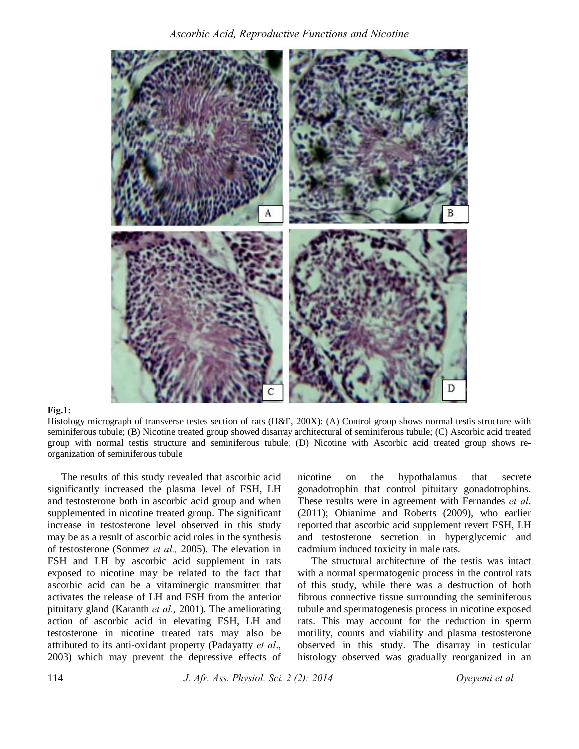*Ascorbic Acid, Reproductive Functions and Nicotine*



#### **Fig.1:**

Histology micrograph of transverse testes section of rats (H&E, 200X): (A) Control group shows normal testis structure with seminiferous tubule; (B) Nicotine treated group showed disarray architectural of seminiferous tubule; (C) Ascorbic acid treated group with normal testis structure and seminiferous tubule; (D) Nicotine with Ascorbic acid treated group shows reorganization of seminiferous tubule

The results of this study revealed that ascorbic acid significantly increased the plasma level of FSH, LH and testosterone both in ascorbic acid group and when supplemented in nicotine treated group. The significant increase in testosterone level observed in this study may be as a result of ascorbic acid roles in the synthesis of testosterone (Sonmez *et al.,* 2005). The elevation in FSH and LH by ascorbic acid supplement in rats exposed to nicotine may be related to the fact that ascorbic acid can be a vitaminergic transmitter that activates the release of LH and FSH from the anterior pituitary gland (Karanth *et al.,* 2001). The ameliorating action of ascorbic acid in elevating FSH, LH and testosterone in nicotine treated rats may also be attributed to its anti-oxidant property (Padayatty *et al*., 2003) which may prevent the depressive effects of

nicotine on the hypothalamus that secrete gonadotrophin that control pituitary gonadotrophins. These results were in agreement with Fernandes *et al*. (2011); Obianime and Roberts (2009), who earlier reported that ascorbic acid supplement revert FSH, LH and testosterone secretion in hyperglycemic and cadmium induced toxicity in male rats.

The structural architecture of the testis was intact with a normal spermatogenic process in the control rats of this study, while there was a destruction of both fibrous connective tissue surrounding the seminiferous tubule and spermatogenesis process in nicotine exposed rats. This may account for the reduction in sperm motility, counts and viability and plasma testosterone observed in this study. The disarray in testicular histology observed was gradually reorganized in an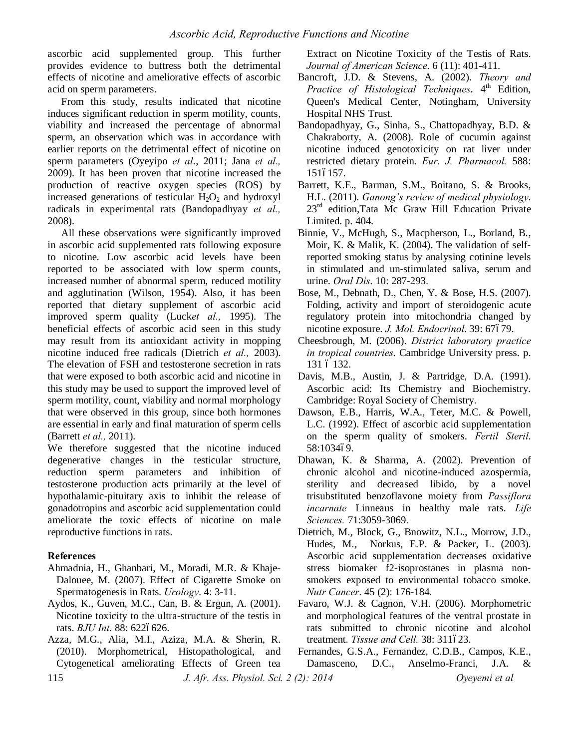ascorbic acid supplemented group. This further provides evidence to buttress both the detrimental effects of nicotine and ameliorative effects of ascorbic acid on sperm parameters.

From this study, results indicated that nicotine induces significant reduction in sperm motility, counts, viability and increased the percentage of abnormal sperm, an observation which was in accordance with earlier reports on the detrimental effect of nicotine on sperm parameters (Oyeyipo *et al*., 2011; Jana *et al.,*  2009). It has been proven that nicotine increased the production of reactive oxygen species (ROS) by increased generations of testicular  $H_2O_2$  and hydroxyl radicals in experimental rats (Bandopadhyay *et al.,*  2008).

All these observations were significantly improved in ascorbic acid supplemented rats following exposure to nicotine. Low ascorbic acid levels have been reported to be associated with low sperm counts, increased number of abnormal sperm, reduced motility and agglutination (Wilson, 1954). Also, it has been reported that dietary supplement of ascorbic acid improved sperm quality (Luck*et al.,* 1995). The beneficial effects of ascorbic acid seen in this study may result from its antioxidant activity in mopping nicotine induced free radicals (Dietrich *et al.,* 2003). The elevation of FSH and testosterone secretion in rats that were exposed to both ascorbic acid and nicotine in this study may be used to support the improved level of sperm motility, count, viability and normal morphology that were observed in this group, since both hormones are essential in early and final maturation of sperm cells (Barrett *et al.,* 2011).

We therefore suggested that the nicotine induced degenerative changes in the testicular structure, reduction sperm parameters and inhibition of testosterone production acts primarily at the level of hypothalamic-pituitary axis to inhibit the release of gonadotropins and ascorbic acid supplementation could ameliorate the toxic effects of nicotine on male reproductive functions in rats.

# **References**

- Ahmadnia, H., Ghanbari, M., Moradi, M.R. & Khaje-Dalouee, M. (2007). Effect of Cigarette Smoke on Spermatogenesis in Rats. *Urology*. 4: 3-11.
- Aydos, K., Guven, M.C., Can, B. & Ergun, A. (2001). Nicotine toxicity to the ultra-structure of the testis in rats. *BJU Int*. 88: 6226626.
- Azza, M.G., Alia, M.I., Aziza, M.A. & Sherin, R. (2010). Morphometrical, Histopathological, and Cytogenetical ameliorating Effects of Green tea

Extract on Nicotine Toxicity of the Testis of Rats. *Journal of American Science*. 6 (11): 401-411.

- Bancroft, J.D. & Stevens, A. (2002). *Theory and Practice of Histological Techniques*. 4<sup>th</sup> Edition, Queen's Medical Center, Notingham, University Hospital NHS Trust.
- Bandopadhyay, G., Sinha, S., Chattopadhyay, B.D. & Chakraborty, A. (2008). Role of cucumin against nicotine induced genotoxicity on rat liver under restricted dietary protein. *Eur. J. Pharmacol.* 588: 1516157.
- Barrett, K.E., Barman, S.M., Boitano, S. & Brooks, H.L. (2011). *Ganong's review of medical physiology*.  $23<sup>rd</sup>$  edition, Tata Mc Graw Hill Education Private Limited. p. 404.
- Binnie, V., McHugh, S., Macpherson, L., Borland, B., Moir, K. & Malik, K. (2004). The validation of selfreported smoking status by analysing cotinine levels in stimulated and un-stimulated saliva, serum and urine. *Oral Dis*. 10: 287-293.
- Bose, M., Debnath, D., Chen, Y. & Bose, H.S. (2007). Folding, activity and import of steroidogenic acute regulatory protein into mitochondria changed by nicotine exposure. *J. Mol. Endocrinol*. 39: 67679.
- Cheesbrough, M. (2006). *District laboratory practice in tropical countries*. Cambridge University press. p. 131 6 132.
- Davis, M.B., Austin, J. & Partridge, D.A. (1991). Ascorbic acid: Its Chemistry and Biochemistry. Cambridge: Royal Society of Chemistry.
- Dawson, E.B., Harris, W.A., Teter, M.C. & Powell, L.C. (1992). Effect of ascorbic acid supplementation on the sperm quality of smokers. *Fertil Steril*. 58:103469.
- Dhawan, K. & Sharma, A. (2002). Prevention of chronic alcohol and nicotine-induced azospermia, sterility and decreased libido, by a novel trisubstituted benzoflavone moiety from *Passiflora incarnate* Linneaus in healthy male rats. *Life Sciences.* 71:3059-3069.
- Dietrich, M., Block, G., Bnowitz, N.L., Morrow, J.D., Hudes, M., Norkus, E.P. & Packer, L. (2003). Ascorbic acid supplementation decreases oxidative stress biomaker f2-isoprostanes in plasma nonsmokers exposed to environmental tobacco smoke. *Nutr Cancer*. 45 (2): 176-184.
- Favaro, W.J. & Cagnon, V.H. (2006). Morphometric and morphological features of the ventral prostate in rats submitted to chronic nicotine and alcohol treatment. Tissue and Cell. 38: 311623.
- Fernandes, G.S.A., Fernandez, C.D.B., Campos, K.E., Damasceno, D.C., Anselmo-Franci, J.A. &

115 *J. Afr. Ass. Physiol. Sci. 2 (2): 2014 Oyeyemi et al*